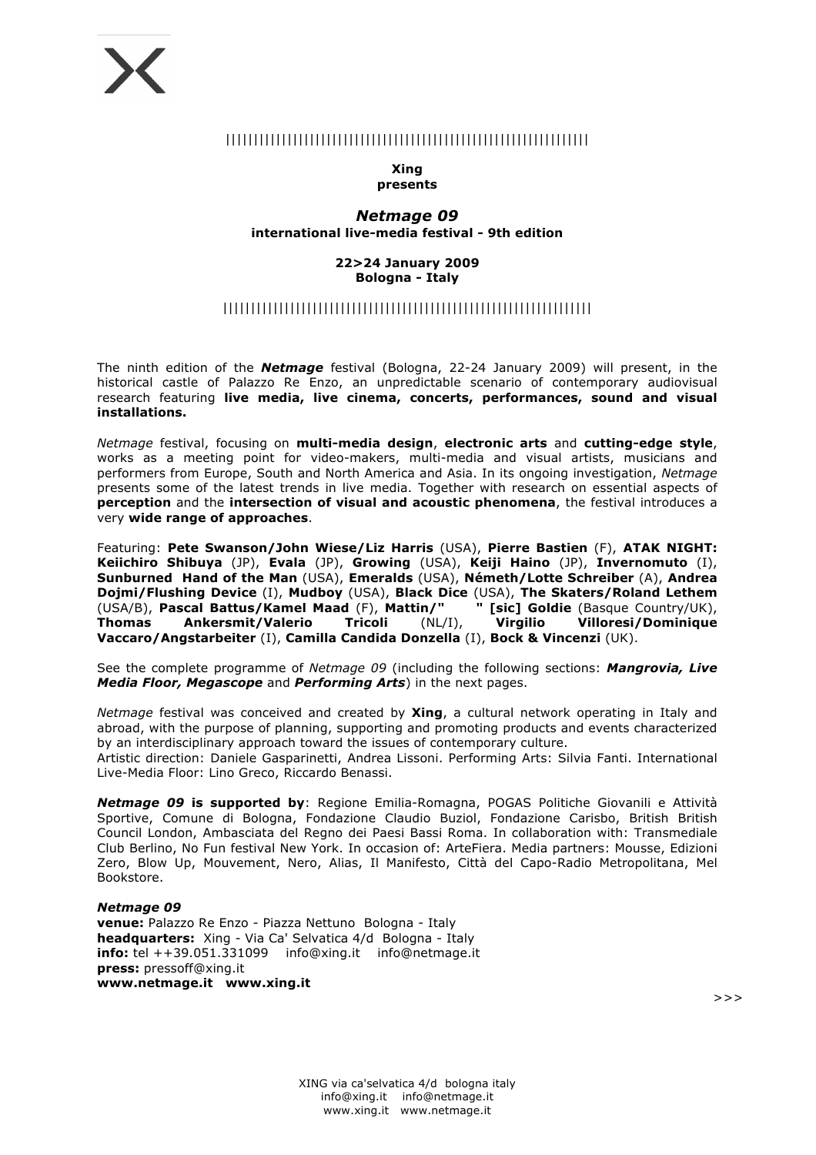# |||||||||||||||||||||||||||||||||||||||||||||||||||||||||||||||||

#### **Xing presents**

# *Netmage 09* **international live-media festival - 9th edition**

#### **22>24 January 2009 Bologna - Italy**

# ||||||||||||||||||||||||||||||||||||||||||||||||||||||||||||||||||

The ninth edition of the *Netmage* festival (Bologna, 22-24 January 2009) will present, in the historical castle of Palazzo Re Enzo, an unpredictable scenario of contemporary audiovisual research featuring **live media, live cinema, concerts, performances, sound and visual installations.**

*Netmage* festival, focusing on **multi-media design**, **electronic arts** and **cutting-edge style**, works as a meeting point for video-makers, multi-media and visual artists, musicians and performers from Europe, South and North America and Asia. In its ongoing investigation, *Netmage* presents some of the latest trends in live media. Together with research on essential aspects of **perception** and the **intersection of visual and acoustic phenomena**, the festival introduces a very **wide range of approaches**.

Featuring: **Pete Swanson/John Wiese/Liz Harris** (USA), **Pierre Bastien** (F), **ATAK NIGHT: Keiichiro Shibuya** (JP), **Evala** (JP), **Growing** (USA), **Keiji Haino** (JP), **Invernomuto** (I), **Sunburned Hand of the Man** (USA), **Emeralds** (USA), **Németh/Lotte Schreiber** (A), **Andrea Dojmi/Flushing Device** (I), **Mudboy** (USA), **Black Dice** (USA), **The Skaters/Roland Lethem** (USA/B), **Pascal Battus/Kamel Maad** (F), **Mattin/" " [sic] Goldie** (Basque Country/UK), **Thomas Ankersmit/Valerio Tricoli** (NL/I), **Virgilio Villoresi/Dominique Vaccaro/Angstarbeiter** (I), **Camilla Candida Donzella** (I), **Bock & Vincenzi** (UK).

See the complete programme of *Netmage 09* (including the following sections: *Mangrovia, Live Media Floor, Megascope* and *Performing Arts*) in the next pages.

*Netmage* festival was conceived and created by **Xing**, a cultural network operating in Italy and abroad, with the purpose of planning, supporting and promoting products and events characterized by an interdisciplinary approach toward the issues of contemporary culture.

Artistic direction: Daniele Gasparinetti, Andrea Lissoni. Performing Arts: Silvia Fanti. International Live-Media Floor: Lino Greco, Riccardo Benassi.

*Netmage 09* **is supported by**: Regione Emilia-Romagna, POGAS Politiche Giovanili e Attività Sportive, Comune di Bologna, Fondazione Claudio Buziol, Fondazione Carisbo, British British Council London, Ambasciata del Regno dei Paesi Bassi Roma. In collaboration with: Transmediale Club Berlino, No Fun festival New York. In occasion of: ArteFiera. Media partners: Mousse, Edizioni Zero, Blow Up, Mouvement, Nero, Alias, Il Manifesto, Città del Capo-Radio Metropolitana, Mel Bookstore.

#### *Netmage 09*

**venue:** Palazzo Re Enzo - Piazza Nettuno Bologna - Italy **headquarters:** Xing - Via Ca' Selvatica 4/d Bologna - Italy **info:** tel ++39.051.331099 info@xing.it info@netmage.it **press:** pressoff@xing.it **www.netmage.it www.xing.it**

>>>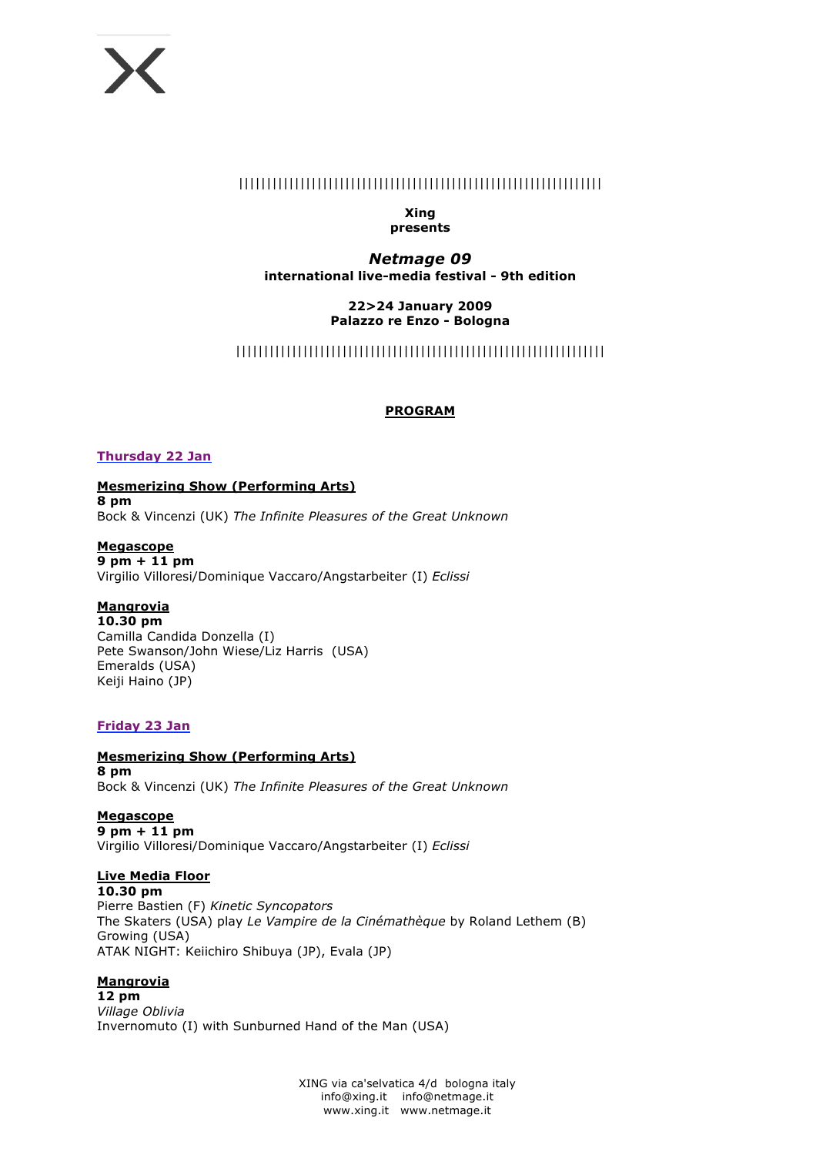# |||||||||||||||||||||||||||||||||||||||||||||||||||||||||||||||||

#### **Xing presents**

# *Netmage 09*

**international live-media festival - 9th edition**

## **22>24 January 2009 Palazzo re Enzo - Bologna**

# ||||||||||||||||||||||||||||||||||||||||||||||||||||||||||||||||||

# **PROGRAM**

# **Thursday 22 Jan**

**Mesmerizing Show (Performing Arts) 8 pm**  Bock & Vincenzi (UK) *The Infinite Pleasures of the Great Unknown*

# **Megascope**

**9 pm + 11 pm** Virgilio Villoresi/Dominique Vaccaro/Angstarbeiter (I) *Eclissi*

# **Mangrovia**

**10.30 pm** Camilla Candida Donzella (I) Pete Swanson/John Wiese/Liz Harris (USA) Emeralds (USA) Keiji Haino (JP)

# **Friday 23 Jan**

# **Mesmerizing Show (Performing Arts)**

**8 pm**  Bock & Vincenzi (UK) *The Infinite Pleasures of the Great Unknown*

#### **Megascope 9 pm + 11 pm**

Virgilio Villoresi/Dominique Vaccaro/Angstarbeiter (I) *Eclissi*

# **Live Media Floor**

**10.30 pm** Pierre Bastien (F) *Kinetic Syncopators* The Skaters (USA) play *Le Vampire de la Cinémathèque* by Roland Lethem (B) Growing (USA) ATAK NIGHT: Keiichiro Shibuya (JP), Evala (JP)

# **Mangrovia**

**12 pm** *Village Oblivia* Invernomuto (I) with Sunburned Hand of the Man (USA)